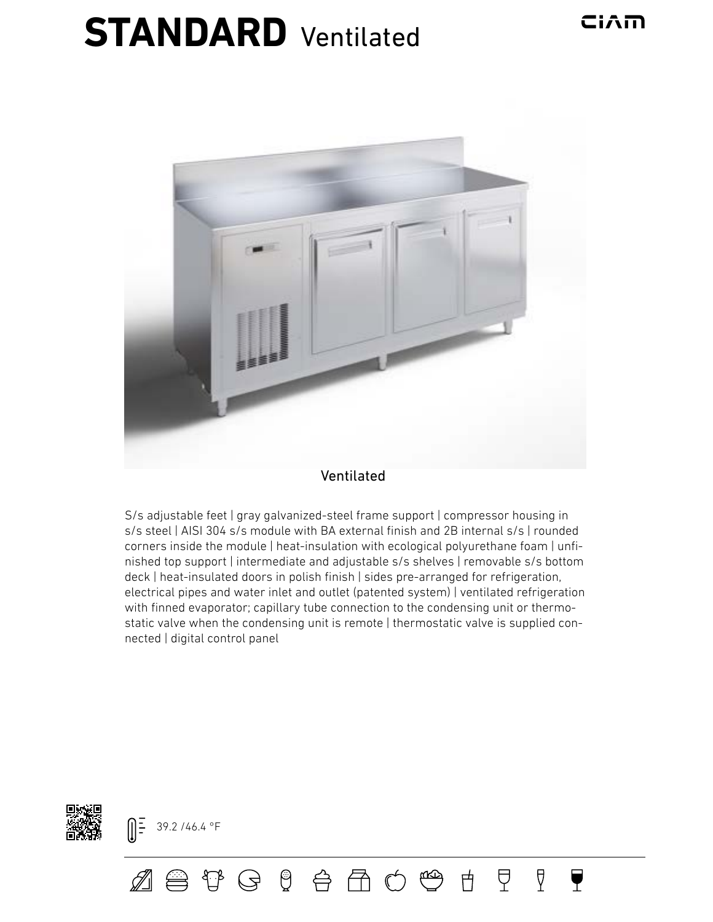## **STANDARD** Ventilated



## Ventilated

S/s adjustable feet | gray galvanized-steel frame support | compressor housing in s/s steel | AISI 304 s/s module with BA external finish and 2B internal s/s | rounded corners inside the module | heat-insulation with ecological polyurethane foam | unfinished top support | intermediate and adjustable s/s shelves | removable s/s bottom deck | heat-insulated doors in polish finish | sides pre-arranged for refrigeration, electrical pipes and water inlet and outlet (patented system) | ventilated refrigeration with finned evaporator; capillary tube connection to the condensing unit or thermostatic valve when the condensing unit is remote | thermostatic valve is supplied connected | digital control panel

ZB + G + B + B + O + B +

모.

 $\Delta$ 

 $\overline{\mathbf{Y}}$ 



 $\left[\right]\frac{1}{2}$  39.2 /46.4 °F